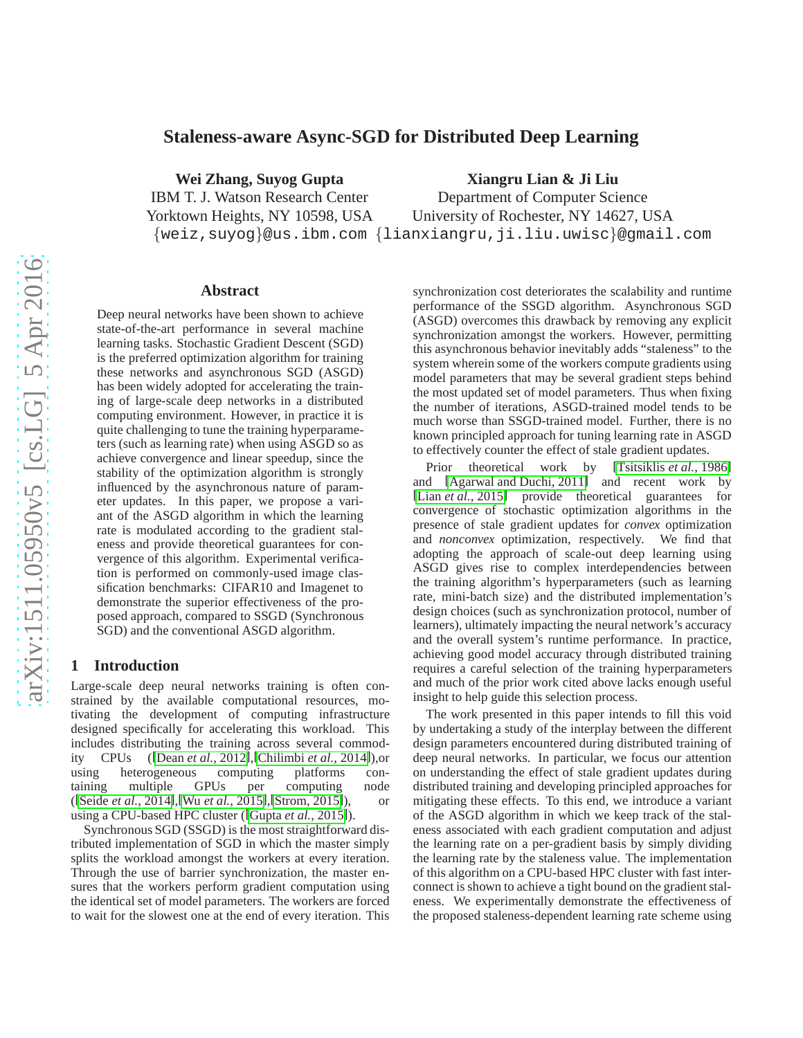# **Staleness-aware Async-SGD for Distributed Deep Learning**

**Wei Zhang, Suyog Gupta** IBM T. J. Watson Research Center Yorktown Heights, NY 10598, USA **Xiangru Lian & Ji Liu**

{weiz,suyog}@us.ibm.com {lianxiangru,ji.liu.uwisc}@gmail.com Department of Computer Science University of Rochester, NY 14627, USA

### **Abstract**

Deep neural networks have been shown to achieve state-of-the-art performance in several machine learning tasks. Stochastic Gradient Descent (SGD) is the preferred optimization algorithm for training these networks and asynchronous SGD (ASGD) has been widely adopted for accelerating the training of large-scale deep networks in a distributed computing environment. However, in practice it is quite challenging to tune the training hyperparameters (such as learning rate) when using ASGD so as achieve convergence and linear speedup, since the stability of the optimization algorithm is strongly influenced by the asynchronous nature of parameter updates. In this paper, we propose a variant of the ASGD algorithm in which the learning rate is modulated according to the gradient staleness and provide theoretical guarantees for convergence of this algorithm. Experimental verification is performed on commonly-used image classification benchmarks: CIFAR10 and Imagenet to demonstrate the superior effectiveness of the proposed approach, compared to SSGD (Synchronous SGD) and the conventional ASGD algorithm.

### **1 Introduction**

Large-scale deep neural networks training is often constrained by the available computational resources, motivating the development of computing infrastructure designed specifically for accelerating this workload. This includes distributing the training across several commodity CPUs ([Dean *et al.*[, 2012\]](#page-6-0),[\[Chilimbi](#page-6-1) *et al.*, 2014]),or using heterogeneous computing platforms containing multiple GPUs per computing node ([Seide *et al.*[, 2014\]](#page-6-2),[Wu *et al.*[, 2015\]](#page-6-3),[\[Strom, 2015\]](#page-6-4)), or using a CPU-based HPC cluster ([\[Gupta](#page-6-5) *et al.*, 2015]).

Synchronous SGD (SSGD) is the most straightforward distributed implementation of SGD in which the master simply splits the workload amongst the workers at every iteration. Through the use of barrier synchronization, the master ensures that the workers perform gradient computation using the identical set of model parameters. The workers are forced to wait for the slowest one at the end of every iteration. This synchronization cost deteriorates the scalability and runtime performance of the SSGD algorithm. Asynchronous SGD (ASGD) overcomes this drawback by removing any explicit synchronization amongst the workers. However, permitting this asynchronous behavior inevitably adds "staleness" to the system wherein some of the workers compute gradients using model parameters that may be several gradient steps behind the most updated set of model parameters. Thus when fixing the number of iterations, ASGD-trained model tends to be much worse than SSGD-trained model. Further, there is no known principled approach for tuning learning rate in ASGD to effectively counter the effect of stale gradient updates.

Prior theoretical work by [\[Tsitsiklis](#page-6-6) *et al.*, 1986] and [\[Agarwal and Duchi, 2011\]](#page-6-7) and recent work by [Lian *et al.*[, 2015\]](#page-6-8) provide theoretical guarantees for convergence of stochastic optimization algorithms in the presence of stale gradient updates for *convex* optimization and *nonconvex* optimization, respectively. We find that adopting the approach of scale-out deep learning using ASGD gives rise to complex interdependencies between the training algorithm's hyperparameters (such as learning rate, mini-batch size) and the distributed implementation's design choices (such as synchronization protocol, number of learners), ultimately impacting the neural network's accuracy and the overall system's runtime performance. In practice, achieving good model accuracy through distributed training requires a careful selection of the training hyperparameters and much of the prior work cited above lacks enough useful insight to help guide this selection process.

The work presented in this paper intends to fill this void by undertaking a study of the interplay between the different design parameters encountered during distributed training of deep neural networks. In particular, we focus our attention on understanding the effect of stale gradient updates during distributed training and developing principled approaches for mitigating these effects. To this end, we introduce a variant of the ASGD algorithm in which we keep track of the staleness associated with each gradient computation and adjust the learning rate on a per-gradient basis by simply dividing the learning rate by the staleness value. The implementation of this algorithm on a CPU-based HPC cluster with fast interconnect is shown to achieve a tight bound on the gradient staleness. We experimentally demonstrate the effectiveness of the proposed staleness-dependent learning rate scheme using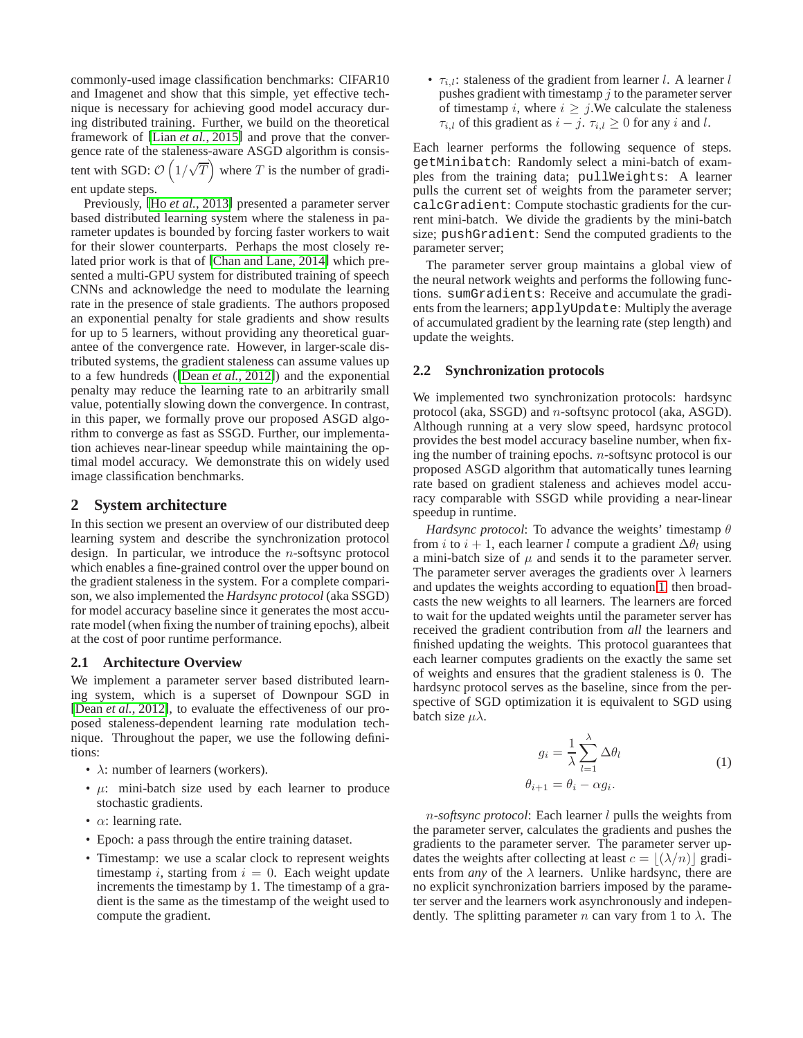commonly-used image classification benchmarks: CIFAR10 and Imagenet and show that this simple, yet effective technique is necessary for achieving good model accuracy during distributed training. Further, we build on the theoretical framework of [Lian *et al.*[, 2015\]](#page-6-8) and prove that the convergence rate of the staleness-aware ASGD algorithm is consistent with SGD:  $\mathcal{O}\left(1/\sqrt{T}\right)$  where T is the number of gradi-

ent update steps.

Previously, [Ho *et al.*[, 2013\]](#page-6-9) presented a parameter server based distributed learning system where the staleness in parameter updates is bounded by forcing faster workers to wait for their slower counterparts. Perhaps the most closely related prior work is that of [\[Chan and Lane, 2014\]](#page-6-10) which presented a multi-GPU system for distributed training of speech CNNs and acknowledge the need to modulate the learning rate in the presence of stale gradients. The authors proposed an exponential penalty for stale gradients and show results for up to 5 learners, without providing any theoretical guarantee of the convergence rate. However, in larger-scale distributed systems, the gradient staleness can assume values up to a few hundreds ([Dean *et al.*[, 2012\]](#page-6-0)) and the exponential penalty may reduce the learning rate to an arbitrarily small value, potentially slowing down the convergence. In contrast, in this paper, we formally prove our proposed ASGD algorithm to converge as fast as SSGD. Further, our implementation achieves near-linear speedup while maintaining the optimal model accuracy. We demonstrate this on widely used image classification benchmarks.

### <span id="page-1-1"></span>**2 System architecture**

In this section we present an overview of our distributed deep learning system and describe the synchronization protocol design. In particular, we introduce the  $n$ -softsync protocol which enables a fine-grained control over the upper bound on the gradient staleness in the system. For a complete comparison, we also implemented the *Hardsync protocol* (aka SSGD) for model accuracy baseline since it generates the most accurate model (when fixing the number of training epochs), albeit at the cost of poor runtime performance.

### **2.1 Architecture Overview**

We implement a parameter server based distributed learning system, which is a superset of Downpour SGD in [Dean *et al.*[, 2012\]](#page-6-0), to evaluate the effectiveness of our proposed staleness-dependent learning rate modulation technique. Throughout the paper, we use the following definitions:

- $\lambda$ : number of learners (workers).
- $\mu$ : mini-batch size used by each learner to produce stochastic gradients.
- $\alpha$ : learning rate.
- Epoch: a pass through the entire training dataset.
- Timestamp: we use a scalar clock to represent weights timestamp i, starting from  $i = 0$ . Each weight update increments the timestamp by 1. The timestamp of a gradient is the same as the timestamp of the weight used to compute the gradient.

•  $\tau_{i,l}$ : staleness of the gradient from learner l. A learner l pushes gradient with timestamp  $j$  to the parameter server of timestamp i, where  $i \geq j$ . We calculate the staleness  $\tau_{i,l}$  of this gradient as  $i - j$ .  $\tau_{i,l} \geq 0$  for any i and l.

Each learner performs the following sequence of steps. getMinibatch: Randomly select a mini-batch of examples from the training data; pullWeights: A learner pulls the current set of weights from the parameter server; calcGradient: Compute stochastic gradients for the current mini-batch. We divide the gradients by the mini-batch size; pushGradient: Send the computed gradients to the parameter server;

The parameter server group maintains a global view of the neural network weights and performs the following functions. sumGradients: Receive and accumulate the gradients from the learners; applyUpdate: Multiply the average of accumulated gradient by the learning rate (step length) and update the weights.

### **2.2 Synchronization protocols**

We implemented two synchronization protocols: hardsync protocol (aka, SSGD) and n-softsync protocol (aka, ASGD). Although running at a very slow speed, hardsync protocol provides the best model accuracy baseline number, when fixing the number of training epochs. n-softsync protocol is our proposed ASGD algorithm that automatically tunes learning rate based on gradient staleness and achieves model accuracy comparable with SSGD while providing a near-linear speedup in runtime.

*Hardsync protocol*: To advance the weights' timestamp  $\theta$ from *i* to  $i + 1$ , each learner *l* compute a gradient  $\Delta \theta$  using a mini-batch size of  $\mu$  and sends it to the parameter server. The parameter server averages the gradients over  $\lambda$  learners and updates the weights according to equation [1,](#page-1-0) then broadcasts the new weights to all learners. The learners are forced to wait for the updated weights until the parameter server has received the gradient contribution from *all* the learners and finished updating the weights. This protocol guarantees that each learner computes gradients on the exactly the same set of weights and ensures that the gradient staleness is 0. The hardsync protocol serves as the baseline, since from the perspective of SGD optimization it is equivalent to SGD using batch size  $\mu\lambda$ .

<span id="page-1-0"></span>
$$
g_i = \frac{1}{\lambda} \sum_{l=1}^{\lambda} \Delta \theta_l
$$
  

$$
\theta_{i+1} = \theta_i - \alpha g_i.
$$
 (1)

n*-softsync protocol*: Each learner l pulls the weights from the parameter server, calculates the gradients and pushes the gradients to the parameter server. The parameter server updates the weights after collecting at least  $c = |(\lambda/n)|$  gradients from *any* of the  $\lambda$  learners. Unlike hardsync, there are no explicit synchronization barriers imposed by the parameter server and the learners work asynchronously and independently. The splitting parameter n can vary from 1 to  $\lambda$ . The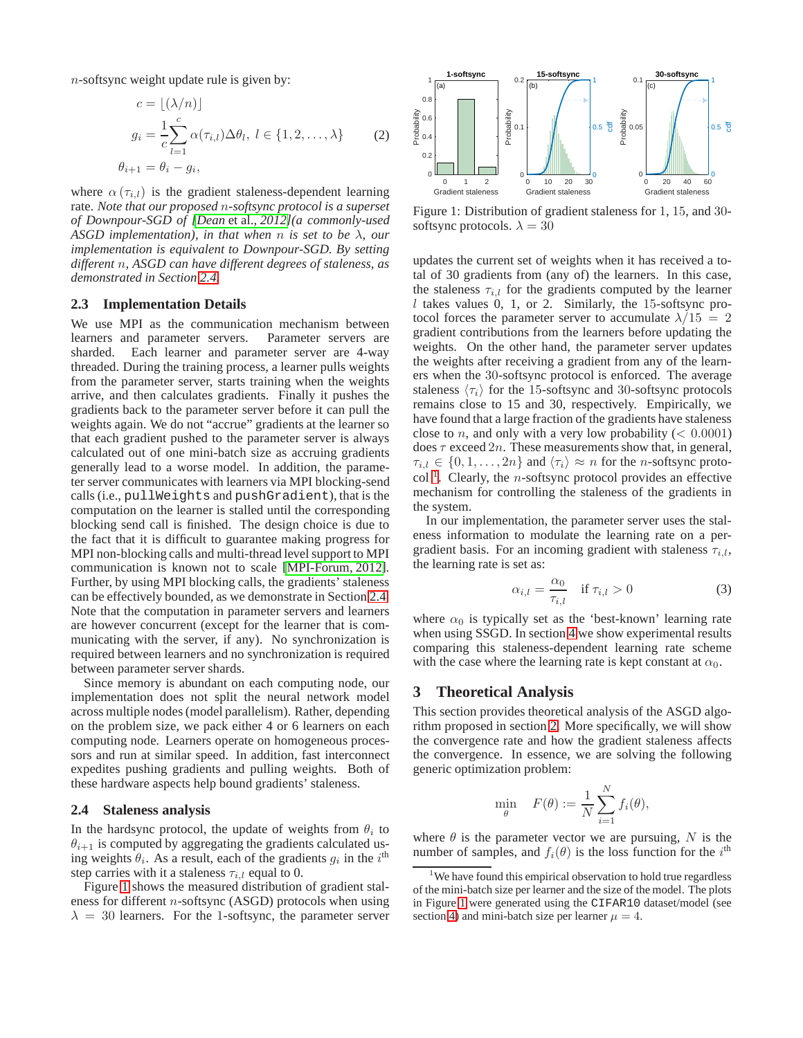n-softsync weight update rule is given by:

$$
c = \lfloor (\lambda/n) \rfloor
$$
  
\n
$$
g_i = \frac{1}{c} \sum_{l=1}^{c} \alpha(\tau_{i,l}) \Delta \theta_l, l \in \{1, 2, ..., \lambda\}
$$
 (2)  
\n
$$
\theta_{i+1} = \theta_i - g_i,
$$

where  $\alpha(\tau_{i,l})$  is the gradient staleness-dependent learning rate. *Note that our proposed* n*-softsync protocol is a superset of Downpour-SGD of [Dean* et al.*[, 2012\]](#page-6-0)(a commonly-used ASGD implementation), in that when* n *is set to be* λ*, our implementation is equivalent to Downpour-SGD. By setting different* n*, ASGD can have different degrees of staleness, as demonstrated in Section [2.4.](#page-2-0)*

#### **2.3 Implementation Details**

We use MPI as the communication mechanism between learners and parameter servers. Parameter servers are sharded. Each learner and parameter server are 4-way threaded. During the training process, a learner pulls weights from the parameter server, starts training when the weights arrive, and then calculates gradients. Finally it pushes the gradients back to the parameter server before it can pull the weights again. We do not "accrue" gradients at the learner so that each gradient pushed to the parameter server is always calculated out of one mini-batch size as accruing gradients generally lead to a worse model. In addition, the parameter server communicates with learners via MPI blocking-send calls (i.e., pullWeights and pushGradient), that is the computation on the learner is stalled until the corresponding blocking send call is finished. The design choice is due to the fact that it is difficult to guarantee making progress for MPI non-blocking calls and multi-thread level support to MPI communication is known not to scale [\[MPI-Forum, 2012\]](#page-6-11). Further, by using MPI blocking calls, the gradients' staleness can be effectively bounded, as we demonstrate in Section [2.4.](#page-2-0) Note that the computation in parameter servers and learners are however concurrent (except for the learner that is communicating with the server, if any). No synchronization is required between learners and no synchronization is required between parameter server shards.

Since memory is abundant on each computing node, our implementation does not split the neural network model across multiple nodes (model parallelism). Rather, depending on the problem size, we pack either 4 or 6 learners on each computing node. Learners operate on homogeneous processors and run at similar speed. In addition, fast interconnect expedites pushing gradients and pulling weights. Both of these hardware aspects help bound gradients' staleness.

### <span id="page-2-0"></span>**2.4 Staleness analysis**

In the hardsync protocol, the update of weights from  $\theta_i$  to  $\theta_{i+1}$  is computed by aggregating the gradients calculated using weights  $\theta_i$ . As a result, each of the gradients  $g_i$  in the  $i^{\text{th}}$ step carries with it a staleness  $\tau_{i,l}$  equal to 0.

Figure [1](#page-2-1) shows the measured distribution of gradient staleness for different n-softsync (ASGD) protocols when using  $\lambda = 30$  learners. For the 1-softsync, the parameter server



<span id="page-2-1"></span>Figure 1: Distribution of gradient staleness for 1, 15, and 30 softsync protocols.  $\lambda = 30$ 

updates the current set of weights when it has received a total of 30 gradients from (any of) the learners. In this case, the staleness  $\tau_{i,l}$  for the gradients computed by the learner  $l$  takes values 0, 1, or 2. Similarly, the 15-softsync protocol forces the parameter server to accumulate  $\lambda/15 = 2$ gradient contributions from the learners before updating the weights. On the other hand, the parameter server updates the weights after receiving a gradient from any of the learners when the 30-softsync protocol is enforced. The average staleness  $\langle \tau_i \rangle$  for the 15-softsync and 30-softsync protocols remains close to 15 and 30, respectively. Empirically, we have found that a large fraction of the gradients have staleness close to *n*, and only with a very low probability ( $< 0.0001$ ) does  $\tau$  exceed  $2n$ . These measurements show that, in general,  $\tau_{i,l} \in \{0, 1, \ldots, 2n\}$  and  $\langle \tau_i \rangle \approx n$  for the *n*-softsync proto- $\text{col}^{-1}$  $\text{col}^{-1}$  $\text{col}^{-1}$ . Clearly, the *n*-softsync protocol provides an effective mechanism for controlling the staleness of the gradients in the system.

In our implementation, the parameter server uses the staleness information to modulate the learning rate on a pergradient basis. For an incoming gradient with staleness  $\tau_{i,l}$ , the learning rate is set as:

<span id="page-2-3"></span>
$$
\alpha_{i,l} = \frac{\alpha_0}{\tau_{i,l}} \quad \text{if } \tau_{i,l} > 0 \tag{3}
$$

where  $\alpha_0$  is typically set as the 'best-known' learning rate when using SSGD. In section [4](#page-4-0) we show experimental results comparing this staleness-dependent learning rate scheme with the case where the learning rate is kept constant at  $\alpha_0$ .

### **3 Theoretical Analysis**

This section provides theoretical analysis of the ASGD algorithm proposed in section [2.](#page-1-1) More specifically, we will show the convergence rate and how the gradient staleness affects the convergence. In essence, we are solving the following generic optimization problem:

$$
\min_{\theta} \quad F(\theta) := \frac{1}{N} \sum_{i=1}^{N} f_i(\theta),
$$

where  $\theta$  is the parameter vector we are pursuing, N is the number of samples, and  $f_i(\theta)$  is the loss function for the  $i^{\text{th}}$ 

<span id="page-2-2"></span><sup>&</sup>lt;sup>1</sup>We have found this empirical observation to hold true regardless of the mini-batch size per learner and the size of the model. The plots in Figure [1](#page-2-1) were generated using the CIFAR10 dataset/model (see section [4\)](#page-4-0) and mini-batch size per learner  $\mu = 4$ .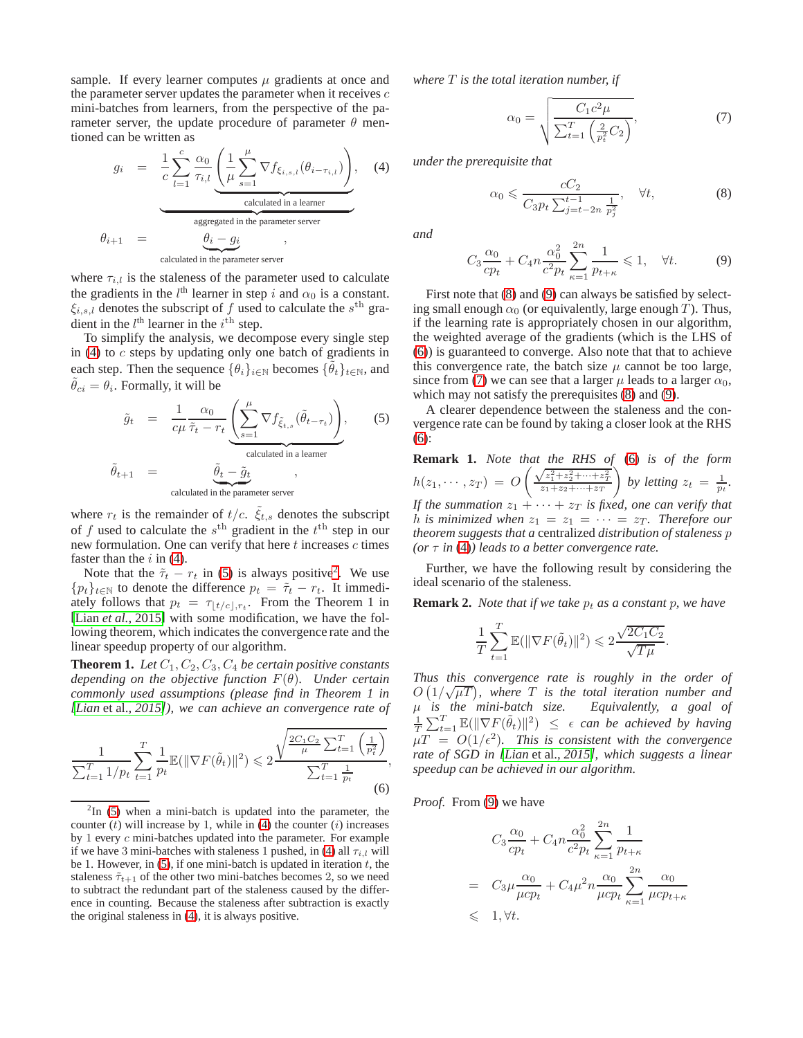sample. If every learner computes  $\mu$  gradients at once and the parameter server updates the parameter when it receives  $c$ mini-batches from learners, from the perspective of the parameter server, the update procedure of parameter  $\theta$  mentioned can be written as

<span id="page-3-0"></span>
$$
g_i = \frac{1}{c} \sum_{l=1}^{c} \frac{\alpha_0}{\tau_{i,l}} \underbrace{\left(\frac{1}{\mu} \sum_{s=1}^{\mu} \nabla f_{\xi_{i,s,l}}(\theta_{i-\tau_{i,l}})\right)}_{\text{calculated in a learner}},
$$
\n
$$
\theta_{i+1} = \underbrace{\theta_i - g_i}_{\text{calculated in the parameter server}},
$$
\n
$$
\theta_{i+1} = \underbrace{\theta_i - g_i}_{\text{calculated in the parameter server}},
$$
\n(4)

where  $\tau_{i,l}$  is the staleness of the parameter used to calculate the gradients in the  $l^{\text{th}}$  learner in step i and  $\alpha_0$  is a constant.  $\xi_{i,s,l}$  denotes the subscript of f used to calculate the s<sup>th</sup> gradient in the  $l^{\text{th}}$  learner in the  $i^{\text{th}}$  step.

To simplify the analysis, we decompose every single step in  $(4)$  to  $c$  steps by updating only one batch of gradients in each step. Then the sequence  $\{\theta_i\}_{i\in\mathbb{N}}$  becomes  $\{\tilde{\theta}_t\}_{t\in\mathbb{N}}$ , and  $\tilde{\theta}_{ci} = \theta_i$ . Formally, it will be

<span id="page-3-1"></span>
$$
\tilde{g}_t = \frac{1}{c\mu} \frac{\alpha_0}{\tilde{\tau}_t - r_t} \underbrace{\left(\sum_{s=1}^{\mu} \nabla f_{\tilde{\xi}_{t,s}}(\tilde{\theta}_{t-\tau_t})\right)}_{\text{calculated in a learner}},
$$
\n
$$
\tilde{\theta}_{t+1} = \underbrace{\tilde{\theta}_t - \tilde{g}_t}_{\text{calculated in the parameter server}},
$$
\n(5)

where  $r_t$  is the remainder of  $t/c$ .  $\tilde{\xi}_{t,s}$  denotes the subscript of f used to calculate the  $s^{\text{th}}$  gradient in the  $t^{\text{th}}$  step in our new formulation. One can verify that here  $t$  increases  $c$  times faster than the  $i$  in [\(4\)](#page-3-0).

Note that the  $\tilde{\tau}_t - r_t$  in [\(5\)](#page-3-1) is always positive<sup>[2](#page-3-2)</sup>. We use  ${p_t}_{t \in \mathbb{N}}$  to denote the difference  $p_t = \tilde{\tau}_t - r_t$ . It immediately follows that  $p_t = \tau_{\lfloor t/c \rfloor, r_t}$ . From the Theorem 1 in [Lian *et al.*[, 2015\]](#page-6-8) with some modification, we have the following theorem, which indicates the convergence rate and the linear speedup property of our algorithm.

**Theorem 1.** Let  $C_1, C_2, C_3, C_4$  be certain positive constants *depending on the objective function* F(θ)*. Under certain commonly used assumptions (please find in Theorem 1 in [Lian* et al.*[, 2015\]](#page-6-8)), we can achieve an convergence rate of*

<span id="page-3-5"></span>
$$
\frac{1}{\sum_{t=1}^{T} 1/p_t} \sum_{t=1}^{T} \frac{1}{p_t} \mathbb{E}(\|\nabla F(\tilde{\theta}_t)\|^2) \leq 2 \frac{\sqrt{\frac{2C_1 C_2}{\mu} \sum_{t=1}^{T} \left(\frac{1}{p_t^2}\right)}}{\sum_{t=1}^{T} \frac{1}{p_t}},\tag{6}
$$

*where* T *is the total iteration number, if*

<span id="page-3-6"></span>
$$
\alpha_0 = \sqrt{\frac{C_1 c^2 \mu}{\sum_{t=1}^T \left(\frac{2}{p_t^2} C_2\right)}},\tag{7}
$$

*under the prerequisite that*

<span id="page-3-3"></span>
$$
\alpha_0 \leqslant \frac{cC_2}{C_3 p_t \sum_{j=t-2n}^{t-1} \frac{1}{p_j^2}}, \quad \forall t,
$$
\n
$$
(8)
$$

<span id="page-3-4"></span>*and*

$$
C_3 \frac{\alpha_0}{cp_t} + C_4 n \frac{\alpha_0^2}{c^2 p_t} \sum_{\kappa=1}^{2n} \frac{1}{p_{t+\kappa}} \leq 1, \quad \forall t. \tag{9}
$$

First note that [\(8\)](#page-3-3) and [\(9\)](#page-3-4) can always be satisfied by selecting small enough  $\alpha_0$  (or equivalently, large enough T). Thus, if the learning rate is appropriately chosen in our algorithm, the weighted average of the gradients (which is the LHS of [\(6\)](#page-3-5)) is guaranteed to converge. Also note that that to achieve this convergence rate, the batch size  $\mu$  cannot be too large, since from [\(7\)](#page-3-6) we can see that a larger  $\mu$  leads to a larger  $\alpha_0$ , which may not satisfy the prerequisites [\(8\)](#page-3-3) and [\(9\)](#page-3-4).

A clearer dependence between the staleness and the convergence rate can be found by taking a closer look at the RHS [\(6\)](#page-3-5):

**Remark 1.** *Note that the RHS of* [\(6\)](#page-3-5) *is of the form*  $h(z_1, \cdots, z_T) = O$  $\left( \frac{\sqrt{z_1^2+z_2^2+\cdots+z_T^2}}{z_1+z_2+\cdots+z_T} \right)$ *by letting*  $z_t = \frac{1}{p_t}$ . *If the summation*  $z_1 + \cdots + z_T$  *is fixed, one can verify that h* is minimized when  $z_1 = z_1 = \cdots = z_T$ . Therefore our *theorem suggests that a* centralized *distribution of staleness* p *(or* τ *in* [\(4\)](#page-3-0)*) leads to a better convergence rate.*

Further, we have the following result by considering the ideal scenario of the staleness.

**Remark 2.** *Note that if we take*  $p_t$  *as a constant*  $p$ *, we have* 

$$
\frac{1}{T}\sum_{t=1}^T \mathbb{E}(\|\nabla F(\tilde{\theta}_t)\|^2) \leqslant 2\frac{\sqrt{2C_1C_2}}{\sqrt{T\mu}}
$$

.

*Thus this convergence rate is roughly in the order of*  $O(1/\sqrt{\mu T})$ , where T is the total iteration number and µ *is the mini-batch size. Equivalently, a goal of* 1  $\frac{1}{T} \sum_{t=1}^T \mathbb{E}(\|\nabla F(\tilde{\theta}_t)\|^2) \leq \epsilon$  *can be achieved by having*  $\mu T = O(1/\epsilon^2)$ . This is consistent with the convergence *rate of SGD in [Lian* et al.*[, 2015\]](#page-6-8), which suggests a linear speedup can be achieved in our algorithm.*

*Proof.* From [\(9\)](#page-3-4) we have

$$
C_3 \frac{\alpha_0}{cp_t} + C_4 n \frac{\alpha_0^2}{c^2 p_t} \sum_{\kappa=1}^{2n} \frac{1}{p_{t+\kappa}}
$$
  
= 
$$
C_3 \mu \frac{\alpha_0}{\mu c p_t} + C_4 \mu^2 n \frac{\alpha_0}{\mu c p_t} \sum_{\kappa=1}^{2n} \frac{\alpha_0}{\mu c p_{t+\kappa}}
$$
  
\$\leqslant \quad 1, \forall t.

<span id="page-3-2"></span> $2\text{In}$  [\(5\)](#page-3-1) when a mini-batch is updated into the parameter, the counter  $(t)$  will increase by 1, while in [\(4\)](#page-3-0) the counter  $(i)$  increases by 1 every c mini-batches updated into the parameter. For example if we have 3 mini-batches with staleness 1 pushed, in [\(4\)](#page-3-0) all  $\tau_{i,l}$  will be 1. However, in [\(5\)](#page-3-1), if one mini-batch is updated in iteration  $t$ , the staleness  $\tilde{\tau}_{t+1}$  of the other two mini-batches becomes 2, so we need to subtract the redundant part of the staleness caused by the difference in counting. Because the staleness after subtraction is exactly the original staleness in [\(4\)](#page-3-0), it is always positive.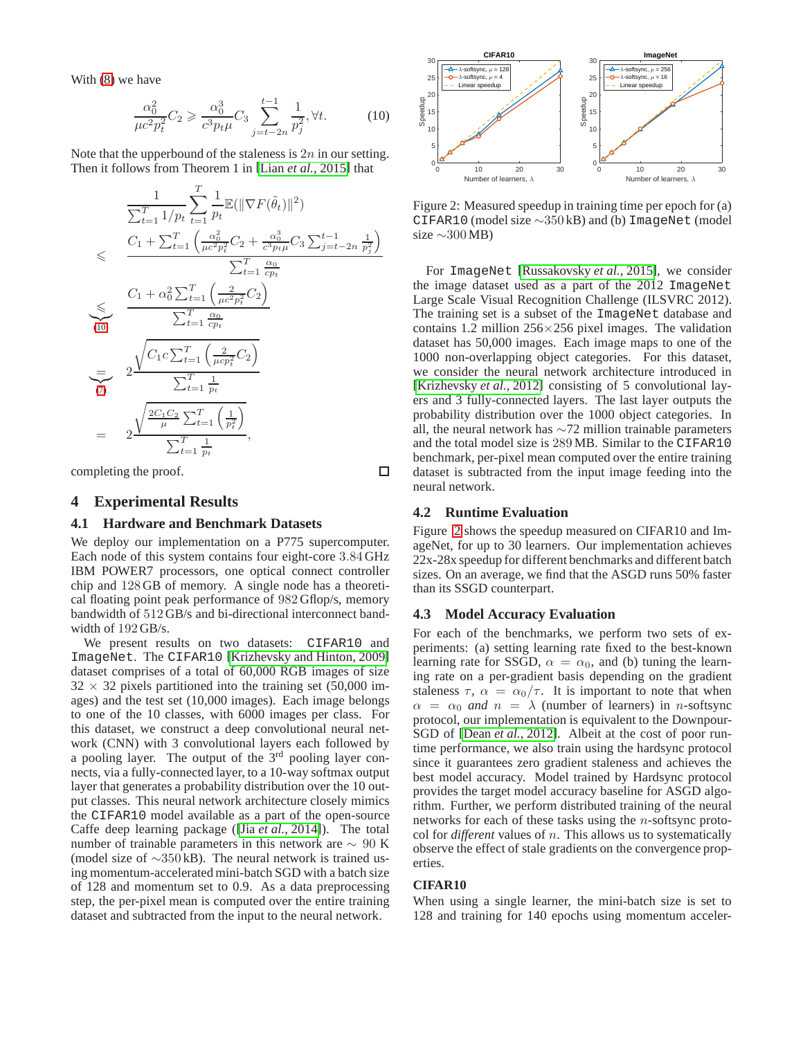With [\(8\)](#page-3-3) we have

<span id="page-4-1"></span>
$$
\frac{\alpha_0^2}{\mu c^2 p_t^2} C_2 \geq \frac{\alpha_0^3}{c^3 p_t \mu} C_3 \sum_{j=t-2n}^{t-1} \frac{1}{p_j^2}, \forall t.
$$
 (10)

Note that the upperbound of the staleness is  $2n$  in our setting. Then it follows from Theorem 1 in [Lian *et al.*[, 2015\]](#page-6-8) that

$$
\frac{1}{\sum_{t=1}^{T} 1/p_t} \sum_{t=1}^{T} \frac{1}{p_t} \mathbb{E}(\|\nabla F(\tilde{\theta}_t)\|^2)
$$
\n
$$
\leqslant \frac{C_1 + \sum_{t=1}^{T} \left(\frac{\alpha_0^2}{\mu c^2 p_t^2} C_2 + \frac{\alpha_0^3}{c^3 p_t \mu} C_3 \sum_{j=t-2n}^{t-1} \frac{1}{p_j^2}\right)}{\sum_{t=1}^{T} \frac{\alpha_0}{cp_t}}
$$
\n
$$
\leqslant \frac{C_1 + \alpha_0^2 \sum_{t=1}^{T} \left(\frac{2}{\mu c^2 p_t^2} C_2\right)}{\sum_{t=1}^{T} \frac{\alpha_0}{cp_t}}
$$
\n
$$
= 2 \frac{\sqrt{C_1 c \sum_{t=1}^{T} \left(\frac{2}{\mu c p_t^2} C_2\right)}}{\sum_{t=1}^{T} \frac{1}{p_t}}
$$
\n
$$
= 2 \frac{\sqrt{\frac{2C_1 C_2}{\mu} \sum_{t=1}^{T} \left(\frac{1}{p_t^2}\right)}}{\sum_{t=1}^{T} \frac{1}{p_t}},
$$

<span id="page-4-0"></span>completing the proof.

### **4 Experimental Results**

### **4.1 Hardware and Benchmark Datasets**

We deploy our implementation on a P775 supercomputer. Each node of this system contains four eight-core 3.84 GHz IBM POWER7 processors, one optical connect controller chip and 128 GB of memory. A single node has a theoretical floating point peak performance of 982 Gflop/s, memory bandwidth of 512 GB/s and bi-directional interconnect bandwidth of 192 GB/s.

We present results on two datasets: CIFAR10 and ImageNet. The CIFAR10 [\[Krizhevsky and Hinton, 2009\]](#page-6-12) dataset comprises of a total of 60,000 RGB images of size  $32 \times 32$  pixels partitioned into the training set (50,000 images) and the test set (10,000 images). Each image belongs to one of the 10 classes, with 6000 images per class. For this dataset, we construct a deep convolutional neural network (CNN) with 3 convolutional layers each followed by a pooling layer. The output of the 3rd pooling layer connects, via a fully-connected layer, to a 10-way softmax output layer that generates a probability distribution over the 10 output classes. This neural network architecture closely mimics the CIFAR10 model available as a part of the open-source Caffe deep learning package ([Jia *et al.*[, 2014\]](#page-6-13)). The total number of trainable parameters in this network are ∼ 90 K (model size of ∼350 kB). The neural network is trained using momentum-accelerated mini-batch SGD with a batch size of 128 and momentum set to 0.9. As a data preprocessing step, the per-pixel mean is computed over the entire training dataset and subtracted from the input to the neural network.



<span id="page-4-2"></span>Figure 2: Measured speedup in training time per epoch for (a) CIFAR10 (model size ∼350 kB) and (b) ImageNet (model size  $\sim 300 \text{MB}$ )

For ImageNet [\[Russakovsky](#page-6-14) *et al.*, 2015], we consider the image dataset used as a part of the 2012 ImageNet Large Scale Visual Recognition Challenge (ILSVRC 2012). The training set is a subset of the ImageNet database and contains 1.2 million  $256 \times 256$  pixel images. The validation dataset has 50,000 images. Each image maps to one of the 1000 non-overlapping object categories. For this dataset, we consider the neural network architecture introduced in [\[Krizhevsky](#page-6-15) *et al.*, 2012] consisting of 5 convolutional layers and 3 fully-connected layers. The last layer outputs the probability distribution over the 1000 object categories. In all, the neural network has ∼72 million trainable parameters and the total model size is 289 MB. Similar to the CIFAR10 benchmark, per-pixel mean computed over the entire training dataset is subtracted from the input image feeding into the neural network.

### **4.2 Runtime Evaluation**

 $\Box$ 

Figure [2](#page-4-2) shows the speedup measured on CIFAR10 and ImageNet, for up to 30 learners. Our implementation achieves 22x-28x speedup for different benchmarks and different batch sizes. On an average, we find that the ASGD runs 50% faster than its SSGD counterpart.

### **4.3 Model Accuracy Evaluation**

For each of the benchmarks, we perform two sets of experiments: (a) setting learning rate fixed to the best-known learning rate for SSGD,  $\alpha = \alpha_0$ , and (b) tuning the learning rate on a per-gradient basis depending on the gradient staleness  $\tau$ ,  $\alpha = \alpha_0/\tau$ . It is important to note that when  $\alpha = \alpha_0$  *and*  $n = \lambda$  (number of learners) in *n*-softsync protocol, our implementation is equivalent to the Downpour-SGD of [Dean *et al.*[, 2012\]](#page-6-0). Albeit at the cost of poor runtime performance, we also train using the hardsync protocol since it guarantees zero gradient staleness and achieves the best model accuracy. Model trained by Hardsync protocol provides the target model accuracy baseline for ASGD algorithm. Further, we perform distributed training of the neural networks for each of these tasks using the n-softsync protocol for *different* values of n. This allows us to systematically observe the effect of stale gradients on the convergence properties.

#### **CIFAR10**

When using a single learner, the mini-batch size is set to 128 and training for 140 epochs using momentum acceler-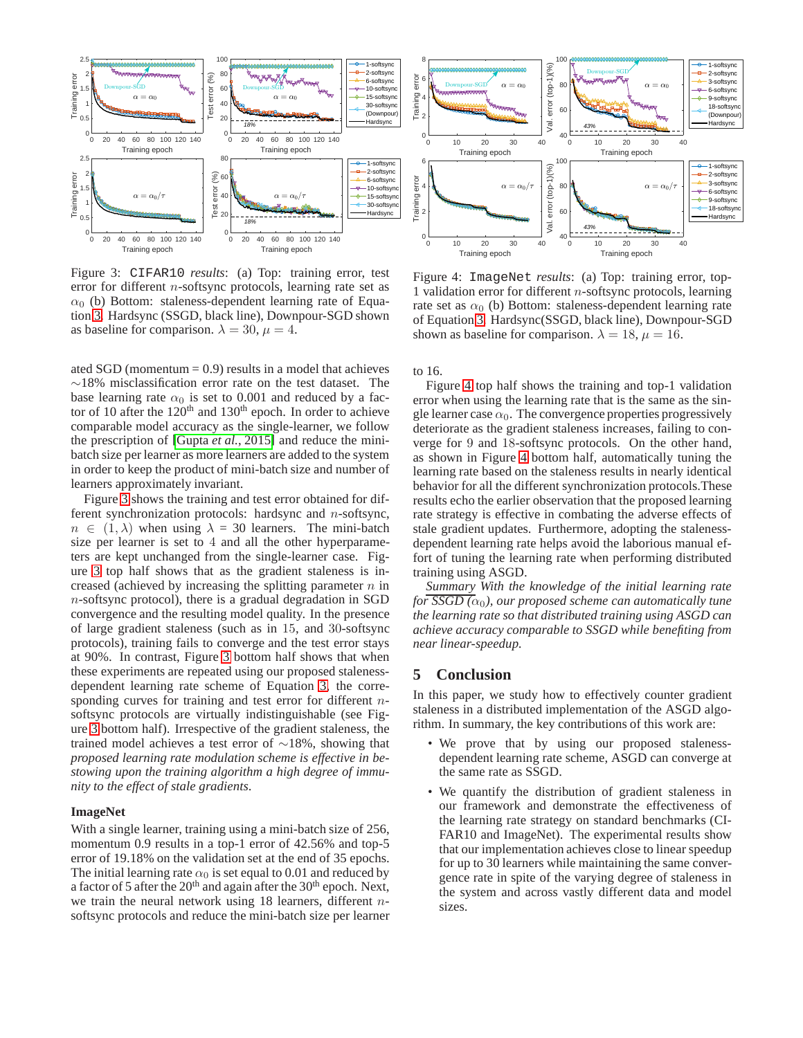

<span id="page-5-0"></span>Figure 3: CIFAR10 *results*: (a) Top: training error, test error for different n-softsync protocols, learning rate set as  $\alpha_0$  (b) Bottom: staleness-dependent learning rate of Equation [3.](#page-2-3) Hardsync (SSGD, black line), Downpour-SGD shown as baseline for comparison.  $\lambda = 30, \mu = 4$ .

ated SGD (momentum  $= 0.9$ ) results in a model that achieves ∼18% misclassification error rate on the test dataset. The base learning rate  $\alpha_0$  is set to 0.001 and reduced by a factor of 10 after the  $120<sup>th</sup>$  and  $130<sup>th</sup>$  epoch. In order to achieve comparable model accuracy as the single-learner, we follow the prescription of [Gupta *et al.*[, 2015\]](#page-6-5) and reduce the minibatch size per learner as more learners are added to the system in order to keep the product of mini-batch size and number of learners approximately invariant.

Figure [3](#page-5-0) shows the training and test error obtained for different synchronization protocols: hardsync and n-softsync,  $n \in (1, \lambda)$  when using  $\lambda = 30$  learners. The mini-batch size per learner is set to 4 and all the other hyperparameters are kept unchanged from the single-learner case. Figure [3](#page-5-0) top half shows that as the gradient staleness is increased (achieved by increasing the splitting parameter  $n$  in n-softsync protocol), there is a gradual degradation in SGD convergence and the resulting model quality. In the presence of large gradient staleness (such as in 15, and 30-softsync protocols), training fails to converge and the test error stays at 90%. In contrast, Figure [3](#page-5-0) bottom half shows that when these experiments are repeated using our proposed stalenessdependent learning rate scheme of Equation [3,](#page-2-3) the corresponding curves for training and test error for different *n*softsync protocols are virtually indistinguishable (see Figure [3](#page-5-0) bottom half). Irrespective of the gradient staleness, the trained model achieves a test error of ∼18%, showing that *proposed learning rate modulation scheme is effective in bestowing upon the training algorithm a high degree of immunity to the effect of stale gradients*.

### **ImageNet**

With a single learner, training using a mini-batch size of 256, momentum 0.9 results in a top-1 error of 42.56% and top-5 error of 19.18% on the validation set at the end of 35 epochs. The initial learning rate  $\alpha_0$  is set equal to 0.01 and reduced by a factor of 5 after the  $20<sup>th</sup>$  and again after the  $30<sup>th</sup>$  epoch. Next, we train the neural network using  $18$  learners, different *n*softsync protocols and reduce the mini-batch size per learner



<span id="page-5-1"></span>Figure 4: ImageNet *results*: (a) Top: training error, top-1 validation error for different  $n$ -softsync protocols, learning rate set as  $\alpha_0$  (b) Bottom: staleness-dependent learning rate of Equation [3.](#page-2-3) Hardsync(SSGD, black line), Downpour-SGD shown as baseline for comparison.  $\lambda = 18$ ,  $\mu = 16$ .

to 16.

Figure [4](#page-5-1) top half shows the training and top-1 validation error when using the learning rate that is the same as the single learner case  $\alpha_0$ . The convergence properties progressively deteriorate as the gradient staleness increases, failing to converge for 9 and 18-softsync protocols. On the other hand, as shown in Figure [4](#page-5-1) bottom half, automatically tuning the learning rate based on the staleness results in nearly identical behavior for all the different synchronization protocols.These results echo the earlier observation that the proposed learning rate strategy is effective in combating the adverse effects of stale gradient updates. Furthermore, adopting the stalenessdependent learning rate helps avoid the laborious manual effort of tuning the learning rate when performing distributed training using ASGD.

*Summary With the knowledge of the initial learning rate for SSGD*  $(\alpha_0)$ *, our proposed scheme can automatically tune the learning rate so that distributed training using ASGD can achieve accuracy comparable to SSGD while benefiting from near linear-speedup.*

### **5 Conclusion**

In this paper, we study how to effectively counter gradient staleness in a distributed implementation of the ASGD algorithm. In summary, the key contributions of this work are:

- We prove that by using our proposed stalenessdependent learning rate scheme, ASGD can converge at the same rate as SSGD.
- We quantify the distribution of gradient staleness in our framework and demonstrate the effectiveness of the learning rate strategy on standard benchmarks (CI-FAR10 and ImageNet). The experimental results show that our implementation achieves close to linear speedup for up to 30 learners while maintaining the same convergence rate in spite of the varying degree of staleness in the system and across vastly different data and model sizes.